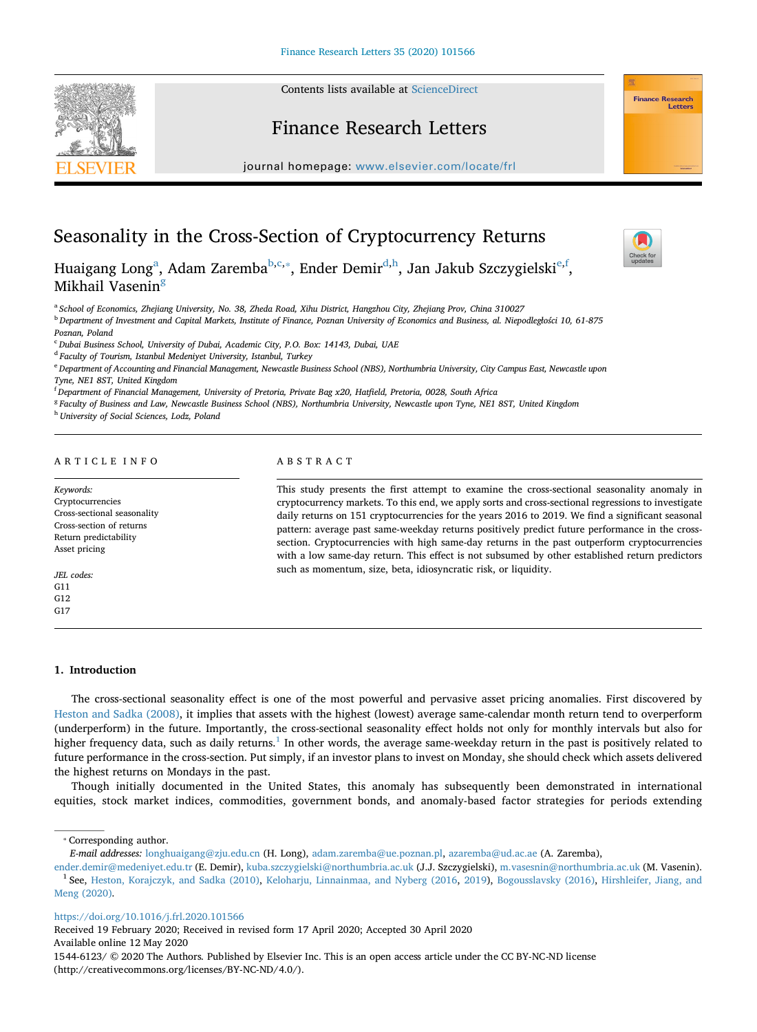Contents lists available at [ScienceDirect](http://www.sciencedirect.com/science/journal/15446123)



# Finance Research Letters

journal homepage: [www.elsevier.com/locate/frl](https://www.elsevier.com/locate/frl)

# Seasonality in the Cross-Section of Cryptocurrency Returns

Hu[a](#page-0-0)igang Long<sup>a</sup>, Adam Zarem[b](#page-0-1)a<sup>b[,c,](#page-0-2)</sup>\*, Ender Demir<sup>d,[h](#page-0-5)</sup>, Jan Jakub Szczyg[ie](#page-0-6)lski<sup>e,[f](#page-0-7)</sup>, Mikhail Vasenin<sup>g</sup>



**Finance Research** esearch<br>Leffers

<span id="page-0-0"></span><sup>a</sup> *School of Economics, Zhejiang University, No. 38, Zheda Road, Xihu District, Hangzhou City, Zhejiang Prov, China 310027*

<span id="page-0-1"></span><sup>b</sup> *Department of Investment and Capital Markets, Institute of Finance, Poznan University of Economics and Business, al. Niepodległości 10, 61-875 Poznan, Poland*

<span id="page-0-2"></span><sup>c</sup> *Dubai Business School, University of Dubai, Academic City, P.O. Box: 14143, Dubai, UAE*

<span id="page-0-4"></span><sup>d</sup> *Faculty of Tourism, Istanbul Medeniyet University, Istanbul, Turkey*

<span id="page-0-6"></span><sup>e</sup> *Department of Accounting and Financial Management, Newcastle Business School (NBS), Northumbria University, City Campus East, Newcastle upon Tyne, NE1 8ST, United Kingdom*

<span id="page-0-7"></span>f *Department of Financial Management, University of Pretoria, Private Bag x20, Hatfield, Pretoria, 0028, South Africa*

<span id="page-0-8"></span><sup>g</sup> *Faculty of Business and Law, Newcastle Business School (NBS), Northumbria University, Newcastle upon Tyne, NE1 8ST, United Kingdom*

<span id="page-0-5"></span><sup>h</sup> *University of Social Sciences, Lodz, Poland*

# ARTICLE INFO

*Keywords:* Cryptocurrencies Cross-sectional seasonality Cross-section of returns Return predictability Asset pricing

*JEL codes:* G11 G12 G17

#### **1. Introduction**

### ABSTRACT

This study presents the first attempt to examine the cross-sectional seasonality anomaly in cryptocurrency markets. To this end, we apply sorts and cross-sectional regressions to investigate daily returns on 151 cryptocurrencies for the years 2016 to 2019. We find a significant seasonal pattern: average past same-weekday returns positively predict future performance in the crosssection. Cryptocurrencies with high same-day returns in the past outperform cryptocurrencies with a low same-day return. This effect is not subsumed by other established return predictors such as momentum, size, beta, idiosyncratic risk, or liquidity.

The cross-sectional seasonality effect is one of the most powerful and pervasive asset pricing anomalies. First discovered by [Heston and Sadka \(2008\)](#page-7-0), it implies that assets with the highest (lowest) average same-calendar month return tend to overperform (underperform) in the future. Importantly, the cross-sectional seasonality effect holds not only for monthly intervals but also for higher frequency data, such as daily returns.<sup>[1](#page-0-9)</sup> In other words, the average same-weekday return in the past is positively related to future performance in the cross-section. Put simply, if an investor plans to invest on Monday, she should check which assets delivered the highest returns on Mondays in the past.

Though initially documented in the United States, this anomaly has subsequently been demonstrated in international equities, stock market indices, commodities, government bonds, and anomaly-based factor strategies for periods extending

<span id="page-0-3"></span>⁎ Corresponding author.

<https://doi.org/10.1016/j.frl.2020.101566>

Received 19 February 2020; Received in revised form 17 April 2020; Accepted 30 April 2020

Available online 12 May 2020

*E-mail addresses:* [longhuaigang@zju.edu.cn](mailto:longhuaigang@zju.edu.cn) (H. Long), [adam.zaremba@ue.poznan.pl](mailto:adam.zaremba@ue.poznan.pl), [azaremba@ud.ac.ae](mailto:azaremba@ud.ac.ae) (A. Zaremba),

<span id="page-0-9"></span>[ender.demir@medeniyet.edu.tr](mailto:ender.demir@medeniyet.edu.tr) (E. Demir), [kuba.szczygielski@northumbria.ac.uk](mailto:kuba.szczygielski@northumbria.ac.uk) (J.J. Szczygielski), [m.vasesnin@northumbria.ac.uk](mailto:m.vasesnin@northumbria.ac.uk) (M. Vasenin). <sup>1</sup> See, [Heston, Korajczyk, and Sadka \(2010\),](#page-7-1) [Keloharju, Linnainmaa, and Nyberg \(2016](#page-7-2), [2019](#page-7-3)), [Bogousslavsky \(2016\),](#page-7-4) [Hirshleifer, Jiang, and](#page-7-5) [Meng \(2020\).](#page-7-5)

<sup>1544-6123/ © 2020</sup> The Authors. Published by Elsevier Inc. This is an open access article under the CC BY-NC-ND license (http://creativecommons.org/licenses/BY-NC-ND/4.0/).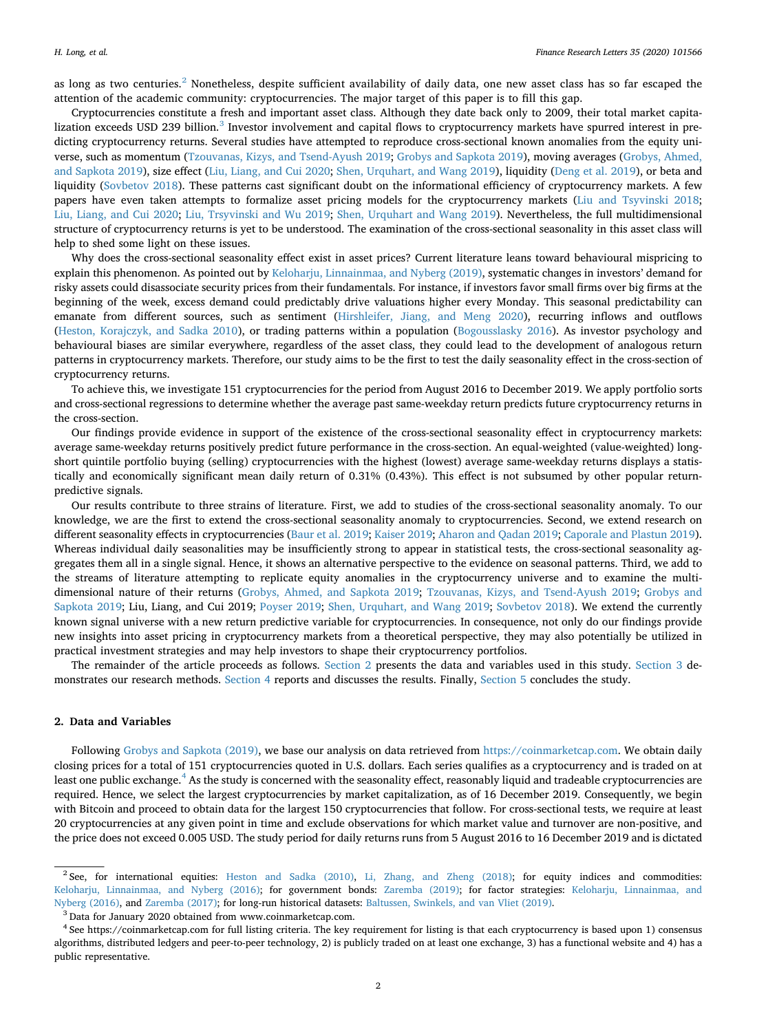as long as two centuries.<sup>[2](#page-1-0)</sup> Nonetheless, despite sufficient availability of daily data, one new asset class has so far escaped the attention of the academic community: cryptocurrencies. The major target of this paper is to fill this gap.

Cryptocurrencies constitute a fresh and important asset class. Although they date back only to 2009, their total market capita-lization exceeds USD 2[3](#page-1-1)9 billion.<sup>3</sup> Investor involvement and capital flows to cryptocurrency markets have spurred interest in predicting cryptocurrency returns. Several studies have attempted to reproduce cross-sectional known anomalies from the equity universe, such as momentum [\(Tzouvanas, Kizys, and Tsend-Ayush 2019](#page-7-6); [Grobys and Sapkota 2019](#page-7-7)), moving averages ([Grobys, Ahmed,](#page-7-8) [and Sapkota 2019\)](#page-7-8), size effect [\(Liu, Liang, and Cui 2020;](#page-7-9) [Shen, Urquhart, and Wang 2019](#page-7-10)), liquidity [\(Deng et al. 2019](#page-7-11)), or beta and liquidity ([Sovbetov 2018](#page-7-12)). These patterns cast significant doubt on the informational efficiency of cryptocurrency markets. A few papers have even taken attempts to formalize asset pricing models for the cryptocurrency markets [\(Liu and Tsyvinski 2018](#page-7-13); [Liu, Liang, and Cui 2020](#page-7-9); [Liu, Trsyvinski and Wu 2019;](#page-7-14) [Shen, Urquhart and Wang 2019\)](#page-7-10). Nevertheless, the full multidimensional structure of cryptocurrency returns is yet to be understood. The examination of the cross-sectional seasonality in this asset class will help to shed some light on these issues.

Why does the cross-sectional seasonality effect exist in asset prices? Current literature leans toward behavioural mispricing to explain this phenomenon. As pointed out by [Keloharju, Linnainmaa, and Nyberg \(2019\),](#page-7-3) systematic changes in investors' demand for risky assets could disassociate security prices from their fundamentals. For instance, if investors favor small firms over big firms at the beginning of the week, excess demand could predictably drive valuations higher every Monday. This seasonal predictability can emanate from different sources, such as sentiment [\(Hirshleifer, Jiang, and Meng 2020\)](#page-7-5), recurring inflows and outflows [\(Heston, Korajczyk, and Sadka 2010](#page-7-1)), or trading patterns within a population [\(Bogousslasky 2016](#page-7-4)). As investor psychology and behavioural biases are similar everywhere, regardless of the asset class, they could lead to the development of analogous return patterns in cryptocurrency markets. Therefore, our study aims to be the first to test the daily seasonality effect in the cross-section of cryptocurrency returns.

To achieve this, we investigate 151 cryptocurrencies for the period from August 2016 to December 2019. We apply portfolio sorts and cross-sectional regressions to determine whether the average past same-weekday return predicts future cryptocurrency returns in the cross-section.

Our findings provide evidence in support of the existence of the cross-sectional seasonality effect in cryptocurrency markets: average same-weekday returns positively predict future performance in the cross-section. An equal-weighted (value-weighted) longshort quintile portfolio buying (selling) cryptocurrencies with the highest (lowest) average same-weekday returns displays a statistically and economically significant mean daily return of 0.31% (0.43%). This effect is not subsumed by other popular returnpredictive signals.

Our results contribute to three strains of literature. First, we add to studies of the cross-sectional seasonality anomaly. To our knowledge, we are the first to extend the cross-sectional seasonality anomaly to cryptocurrencies. Second, we extend research on different seasonality effects in cryptocurrencies [\(Baur et al. 2019](#page-7-15); [Kaiser 2019](#page-7-16); [Aharon and Qadan 2019](#page-6-0); [Caporale and Plastun 2019](#page-7-17)). Whereas individual daily seasonalities may be insufficiently strong to appear in statistical tests, the cross-sectional seasonality aggregates them all in a single signal. Hence, it shows an alternative perspective to the evidence on seasonal patterns. Third, we add to the streams of literature attempting to replicate equity anomalies in the cryptocurrency universe and to examine the multidimensional nature of their returns [\(Grobys, Ahmed, and Sapkota 2019;](#page-7-8) [Tzouvanas, Kizys, and Tsend-Ayush 2019](#page-7-6); [Grobys and](#page-7-7) [Sapkota 2019;](#page-7-7) Liu, Liang, and Cui 2019; [Poyser 2019](#page-7-18); [Shen, Urquhart, and Wang 2019](#page-7-10); [Sovbetov 2018](#page-7-12)). We extend the currently known signal universe with a new return predictive variable for cryptocurrencies. In consequence, not only do our findings provide new insights into asset pricing in cryptocurrency markets from a theoretical perspective, they may also potentially be utilized in practical investment strategies and may help investors to shape their cryptocurrency portfolios.

The remainder of the article proceeds as follows. [Section 2](#page-1-2) presents the data and variables used in this study. [Section 3](#page-2-0) demonstrates our research methods. [Section 4](#page-3-0) reports and discusses the results. Finally, [Section 5](#page-5-0) concludes the study.

#### <span id="page-1-2"></span>**2. Data and Variables**

Following [Grobys and Sapkota \(2019\),](#page-7-7) we base our analysis on data retrieved from [https://coinmarketcap.com.](https://coinmarketcap.com) We obtain daily closing prices for a total of 151 cryptocurrencies quoted in U.S. dollars. Each series qualifies as a cryptocurrency and is traded on at least one public exchange.<sup>[4](#page-1-3)</sup> As the study is concerned with the seasonality effect, reasonably liquid and tradeable cryptocurrencies are required. Hence, we select the largest cryptocurrencies by market capitalization, as of 16 December 2019. Consequently, we begin with Bitcoin and proceed to obtain data for the largest 150 cryptocurrencies that follow. For cross-sectional tests, we require at least 20 cryptocurrencies at any given point in time and exclude observations for which market value and turnover are non-positive, and the price does not exceed 0.005 USD. The study period for daily returns runs from 5 August 2016 to 16 December 2019 and is dictated

<span id="page-1-0"></span><sup>&</sup>lt;sup>2</sup> See, for international equities: [Heston and Sadka \(2010\),](#page-7-19) [Li, Zhang, and Zheng \(2018\);](#page-7-20) for equity indices and commodities: [Keloharju, Linnainmaa, and Nyberg \(2016\)](#page-7-2); for government bonds: [Zaremba \(2019\);](#page-7-21) for factor strategies: [Keloharju, Linnainmaa, and](#page-7-2) [Nyberg \(2016\),](#page-7-2) and [Zaremba \(2017\)](#page-7-22); for long-run historical datasets: [Baltussen, Swinkels, and van Vliet \(2019\)](#page-6-1).

<span id="page-1-1"></span><sup>3</sup> Data for January 2020 obtained from www.coinmarketcap.com.

<span id="page-1-3"></span><sup>4</sup> See https://coinmarketcap.com for full listing criteria. The key requirement for listing is that each cryptocurrency is based upon 1) consensus algorithms, distributed ledgers and peer-to-peer technology, 2) is publicly traded on at least one exchange, 3) has a functional website and 4) has a public representative.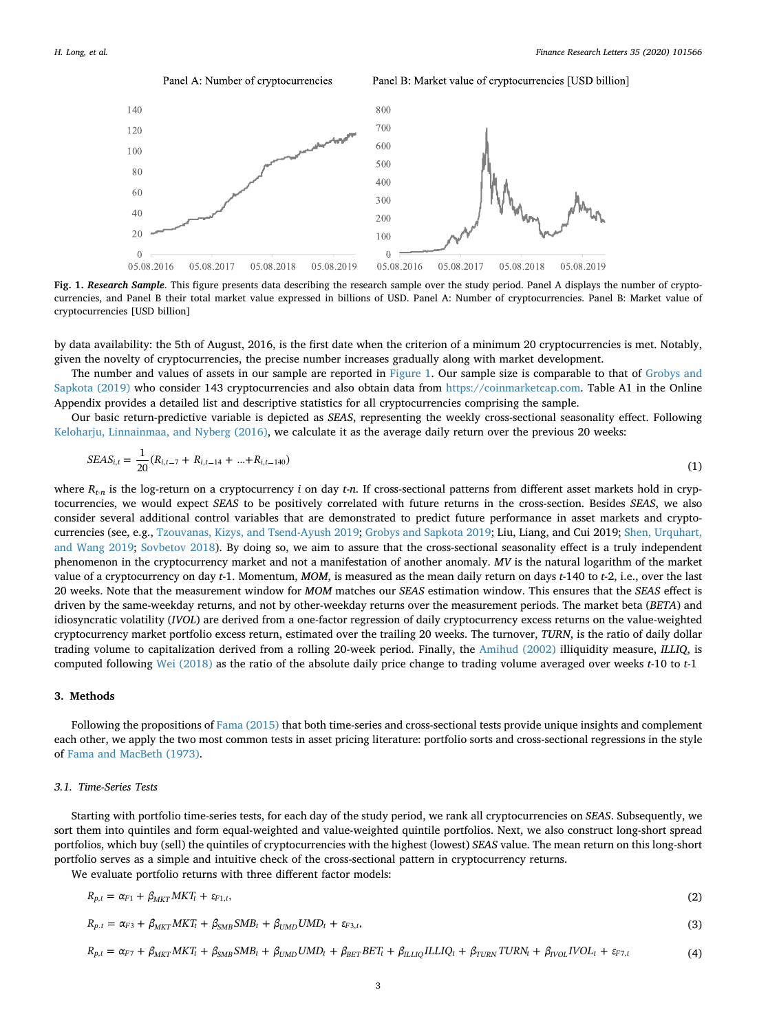<span id="page-2-1"></span>

**Fig. 1.** *Research Sample*. This figure presents data describing the research sample over the study period. Panel A displays the number of cryptocurrencies, and Panel B their total market value expressed in billions of USD. Panel A: Number of cryptocurrencies. Panel B: Market value of cryptocurrencies [USD billion]

by data availability: the 5th of August, 2016, is the first date when the criterion of a minimum 20 cryptocurrencies is met. Notably, given the novelty of cryptocurrencies, the precise number increases gradually along with market development.

The number and values of assets in our sample are reported in [Figure 1](#page-2-1). Our sample size is comparable to that of [Grobys and](#page-7-7) [Sapkota \(2019\)](#page-7-7) who consider 143 cryptocurrencies and also obtain data from [https://coinmarketcap.com.](https://coinmarketcap.com) Table A1 in the Online Appendix provides a detailed list and descriptive statistics for all cryptocurrencies comprising the sample.

Our basic return-predictive variable is depicted as *SEAS*, representing the weekly cross-sectional seasonality effect. Following [Keloharju, Linnainmaa, and Nyberg \(2016\),](#page-7-2) we calculate it as the average daily return over the previous 20 weeks:

$$
SEAS_{i,t} = \frac{1}{20}(R_{i,t-7} + R_{i,t-14} + ... + R_{i,t-140})
$$
\n(1)

where  $R_{t,n}$  is the log-return on a cryptocurrency *i* on day *t-n*. If cross-sectional patterns from different asset markets hold in cryptocurrencies, we would expect *SEAS* to be positively correlated with future returns in the cross-section. Besides *SEAS*, we also consider several additional control variables that are demonstrated to predict future performance in asset markets and cryptocurrencies (see, e.g., [Tzouvanas, Kizys, and Tsend-Ayush 2019](#page-7-6); [Grobys and Sapkota 2019](#page-7-7); Liu, Liang, and Cui 2019; [Shen, Urquhart,](#page-7-10) [and Wang 2019](#page-7-10); [Sovbetov 2018\)](#page-7-12). By doing so, we aim to assure that the cross-sectional seasonality effect is a truly independent phenomenon in the cryptocurrency market and not a manifestation of another anomaly. *MV* is the natural logarithm of the market value of a cryptocurrency on day *t*-1. Momentum, *MOM*, is measured as the mean daily return on days *t*-140 to *t*-2, i.e., over the last 20 weeks. Note that the measurement window for *MOM* matches our *SEAS* estimation window. This ensures that the *SEAS* effect is driven by the same-weekday returns, and not by other-weekday returns over the measurement periods. The market beta (*BETA*) and idiosyncratic volatility (*IVOL*) are derived from a one-factor regression of daily cryptocurrency excess returns on the value-weighted cryptocurrency market portfolio excess return, estimated over the trailing 20 weeks. The turnover, *TURN*, is the ratio of daily dollar trading volume to capitalization derived from a rolling 20-week period. Finally, the [Amihud \(2002\)](#page-6-2) illiquidity measure, *ILLIQ*, is computed following [Wei \(2018\)](#page-7-23) as the ratio of the absolute daily price change to trading volume averaged over weeks *t*-10 to *t*-1

### <span id="page-2-0"></span>**3. Methods**

Following the propositions of [Fama \(2015\)](#page-7-24) that both time-series and cross-sectional tests provide unique insights and complement each other, we apply the two most common tests in asset pricing literature: portfolio sorts and cross-sectional regressions in the style of [Fama and MacBeth \(1973\)](#page-7-25).

#### *3.1. Time-Series Tests*

Starting with portfolio time-series tests, for each day of the study period, we rank all cryptocurrencies on *SEAS*. Subsequently, we sort them into quintiles and form equal-weighted and value-weighted quintile portfolios. Next, we also construct long-short spread portfolios, which buy (sell) the quintiles of cryptocurrencies with the highest (lowest) *SEAS* value. The mean return on this long-short portfolio serves as a simple and intuitive check of the cross-sectional pattern in cryptocurrency returns.

<span id="page-2-2"></span>We evaluate portfolio returns with three different factor models:

<span id="page-2-4"></span><span id="page-2-3"></span>
$$
R_{p,t} = \alpha_{F1} + \beta_{MKT} MKT_t + \varepsilon_{F1,t},
$$
\n
$$
R_{p,t} = \alpha_{F3} + \beta_{MKT} MKT_t + \beta_{SMB} SMB_t + \beta_{UMD} UMD_t + \varepsilon_{F3,t},
$$
\n
$$
R_{p,t} = \alpha_{F3} + \beta_{MKT} MKT_t + \beta_{SMB} SMB_t + \beta_{UMD} UMD_t + \varepsilon_{F3,t},
$$
\n(3)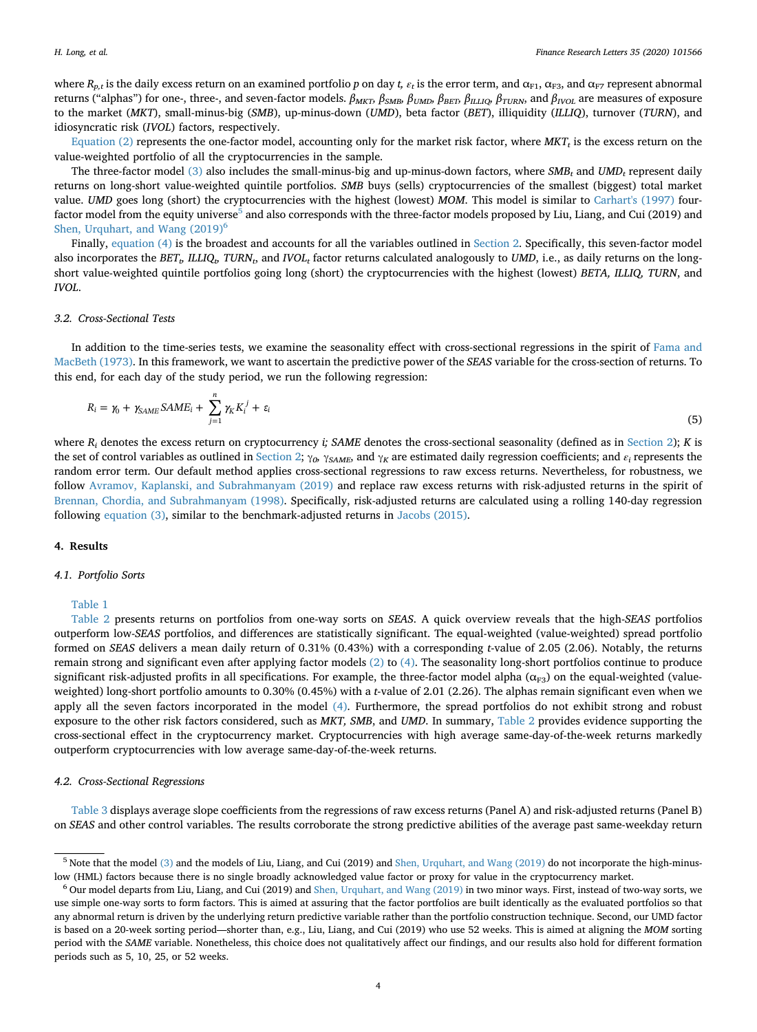where  $R_{p,t}$  is the daily excess return on an examined portfolio *p* on day *t*,  $\epsilon_t$  is the error term, and  $\alpha_{F1}$ ,  $\alpha_{F3}$ , and  $\alpha_{F7}$  represent abnormal returns ("alphas") for one-, three-, and seven-factor models.  $\beta_{MKT}$ ,  $\beta_{SMB}$ ,  $\beta_{UMD}$ ,  $\beta_{BET}$ ,  $\beta_{IILIO}$ ,  $\beta_{TURN}$ , and  $\beta_{IVOL}$  are measures of exposure to the market (*MKT*), small-minus-big (*SMB*), up-minus-down (*UMD*), beta factor (*BET*), illiquidity (*ILLIQ*), turnover (*TURN*), and idiosyncratic risk (*IVOL*) factors, respectively.

Equation  $(2)$  represents the one-factor model, accounting only for the market risk factor, where  $MKT_t$  is the excess return on the value-weighted portfolio of all the cryptocurrencies in the sample.

The three-factor model [\(3\)](#page-2-3) also includes the small-minus-big and up-minus-down factors, where  $SMB_t$  and  $UMD_t$  represent daily returns on long-short value-weighted quintile portfolios. *SMB* buys (sells) cryptocurrencies of the smallest (biggest) total market value. *UMD* goes long (short) the cryptocurrencies with the highest (lowest) *MOM*. This model is similar to [Carhart's \(1997\)](#page-7-26) fourfactor model from the equity universe<sup>5</sup> and also corresponds with the three-factor models proposed by Liu, Liang, and Cui (2019) and [Shen, Urquhart, and Wang \(2019\)](#page-7-10)<sup>[6](#page-3-2)</sup>

Finally, [equation \(4\)](#page-2-4) is the broadest and accounts for all the variables outlined in [Section 2](#page-1-2). Specifically, this seven-factor model also incorporates the *BET<sub>t</sub>*, ILLIQ<sub>t</sub>, TURN<sub>t</sub>, and *IVOL*<sub>t</sub> factor returns calculated analogously to *UMD*, i.e., as daily returns on the longshort value-weighted quintile portfolios going long (short) the cryptocurrencies with the highest (lowest) *BETA, ILLIQ, TURN*, and *IVOL*.

#### *3.2. Cross-Sectional Tests*

In addition to the time-series tests, we examine the seasonality effect with cross-sectional regressions in the spirit of [Fama and](#page-7-25) [MacBeth \(1973\).](#page-7-25) In this framework, we want to ascertain the predictive power of the *SEAS* variable for the cross-section of returns. To this end, for each day of the study period, we run the following regression:

$$
R_i = \gamma_0 + \gamma_{SAME} SAME_i + \sum_{j=1}^{n} \gamma_K K_i^j + \varepsilon_i
$$
\n(5)

where *Ri* denotes the excess return on cryptocurrency *i; SAME* denotes the cross-sectional seasonality (defined as in [Section 2](#page-1-2)); *K* is the set of control variables as outlined in [Section 2;](#page-1-2)  $\gamma_0$ ,  $\gamma_{SAME}$ , and  $\gamma_K$  are estimated daily regression coefficients; and  $\varepsilon_i$  represents the random error term. Our default method applies cross-sectional regressions to raw excess returns. Nevertheless, for robustness, we follow [Avramov, Kaplanski, and Subrahmanyam \(2019\)](#page-6-3) and replace raw excess returns with risk-adjusted returns in the spirit of [Brennan, Chordia, and Subrahmanyam \(1998\)](#page-7-27). Specifically, risk-adjusted returns are calculated using a rolling 140-day regression following [equation \(3\),](#page-2-3) similar to the benchmark-adjusted returns in [Jacobs \(2015\)](#page-7-28).

#### <span id="page-3-0"></span>**4. Results**

#### <span id="page-3-3"></span>*4.1. Portfolio Sorts*

#### [Table 1](#page-4-0)

[Table 2](#page-5-1) presents returns on portfolios from one-way sorts on *SEAS*. A quick overview reveals that the high-*SEAS* portfolios outperform low-*SEAS* portfolios, and differences are statistically significant. The equal-weighted (value-weighted) spread portfolio formed on *SEAS* delivers a mean daily return of 0.31% (0.43%) with a corresponding *t*-value of 2.05 (2.06). Notably, the returns remain strong and significant even after applying factor models [\(2\)](#page-2-2) to [\(4\)](#page-2-4). The seasonality long-short portfolios continue to produce significant risk-adjusted profits in all specifications. For example, the three-factor model alpha ( $\alpha_{F3}$ ) on the equal-weighted (valueweighted) long-short portfolio amounts to 0.30% (0.45%) with a *t*-value of 2.01 (2.26). The alphas remain significant even when we apply all the seven factors incorporated in the model [\(4\).](#page-2-4) Furthermore, the spread portfolios do not exhibit strong and robust exposure to the other risk factors considered, such as *MKT, SMB*, and *UMD*. In summary, [Table 2](#page-5-1) provides evidence supporting the cross-sectional effect in the cryptocurrency market. Cryptocurrencies with high average same-day-of-the-week returns markedly outperform cryptocurrencies with low average same-day-of-the-week returns.

#### *4.2. Cross-Sectional Regressions*

[Table 3](#page-6-4) displays average slope coefficients from the regressions of raw excess returns (Panel A) and risk-adjusted returns (Panel B) on *SEAS* and other control variables. The results corroborate the strong predictive abilities of the average past same-weekday return

<span id="page-3-1"></span><sup>&</sup>lt;sup>5</sup> Note that the model [\(3\)](#page-2-3) and the models of Liu, Liang, and Cui (2019) and [Shen, Urquhart, and Wang \(2019\)](#page-7-10) do not incorporate the high-minuslow (HML) factors because there is no single broadly acknowledged value factor or proxy for value in the cryptocurrency market.

<span id="page-3-2"></span> $6$  Our model departs from Liu, Liang, and Cui (2019) and [Shen, Urquhart, and Wang \(2019\)](#page-7-10) in two minor ways. First, instead of two-way sorts, we use simple one-way sorts to form factors. This is aimed at assuring that the factor portfolios are built identically as the evaluated portfolios so that any abnormal return is driven by the underlying return predictive variable rather than the portfolio construction technique. Second, our UMD factor is based on a 20-week sorting period—shorter than, e.g., Liu, Liang, and Cui (2019) who use 52 weeks. This is aimed at aligning the *MOM* sorting period with the *SAME* variable. Nonetheless, this choice does not qualitatively affect our findings, and our results also hold for different formation periods such as 5, 10, 25, or 52 weeks.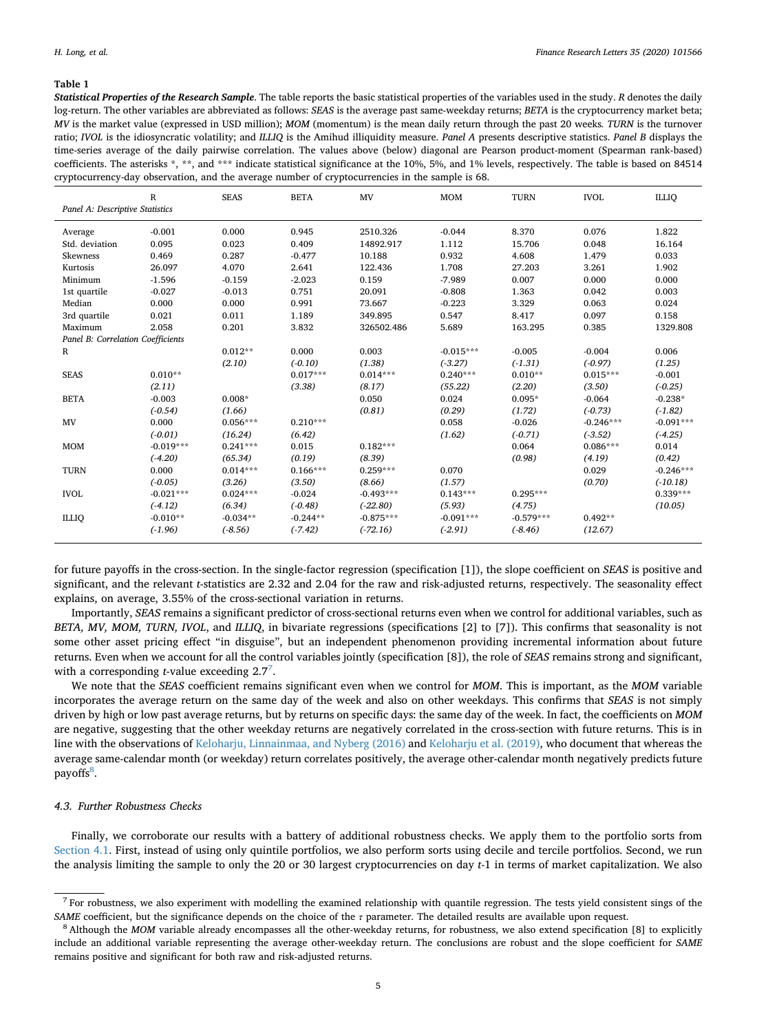#### <span id="page-4-0"></span>**Table 1**

*Statistical Properties of the Research Sample*. The table reports the basic statistical properties of the variables used in the study. *R* denotes the daily log-return. The other variables are abbreviated as follows: *SEAS* is the average past same-weekday returns; *BETA* is the cryptocurrency market beta; *MV* is the market value (expressed in USD million); *MOM* (momentum) is the mean daily return through the past 20 weeks*. TURN* is the turnover ratio; *IVOL* is the idiosyncratic volatility; and *ILLIQ* is the Amihud illiquidity measure. *Panel A* presents descriptive statistics. *Panel B* displays the time-series average of the daily pairwise correlation. The values above (below) diagonal are Pearson product-moment (Spearman rank-based) coefficients. The asterisks \*, \*\*, and \*\*\* indicate statistical significance at the 10%, 5%, and 1% levels, respectively. The table is based on 84514 cryptocurrency-day observation, and the average number of cryptocurrencies in the sample is 68.

|                                   | $\, {\bf R}$ | <b>SEAS</b> | <b>BETA</b> | MV          | <b>MOM</b>  | <b>TURN</b> | <b>IVOL</b> | <b>ILLIO</b> |  |  |
|-----------------------------------|--------------|-------------|-------------|-------------|-------------|-------------|-------------|--------------|--|--|
| Panel A: Descriptive Statistics   |              |             |             |             |             |             |             |              |  |  |
| Average                           | $-0.001$     | 0.000       | 0.945       | 2510.326    | $-0.044$    | 8.370       | 0.076       | 1.822        |  |  |
| Std. deviation                    | 0.095        | 0.023       | 0.409       | 14892.917   | 1.112       | 15.706      | 0.048       | 16.164       |  |  |
| Skewness                          | 0.469        | 0.287       | $-0.477$    | 10.188      | 0.932       | 4.608       | 1.479       | 0.033        |  |  |
| Kurtosis                          | 26.097       | 4.070       | 2.641       | 122.436     | 1.708       | 27.203      | 3.261       | 1.902        |  |  |
| Minimum                           | $-1.596$     | $-0.159$    | $-2.023$    | 0.159       | $-7.989$    | 0.007       | 0.000       | 0.000        |  |  |
| 1st quartile                      | $-0.027$     | $-0.013$    | 0.751       | 20.091      | $-0.808$    | 1.363       | 0.042       | 0.003        |  |  |
| Median                            | 0.000        | 0.000       | 0.991       | 73.667      | $-0.223$    | 3.329       | 0.063       | 0.024        |  |  |
| 3rd quartile                      | 0.021        | 0.011       | 1.189       | 349.895     | 0.547       | 8.417       | 0.097       | 0.158        |  |  |
| Maximum                           | 2.058        | 0.201       | 3.832       | 326502.486  | 5.689       | 163.295     | 0.385       | 1329.808     |  |  |
| Panel B: Correlation Coefficients |              |             |             |             |             |             |             |              |  |  |
| R                                 |              | $0.012**$   | 0.000       | 0.003       | $-0.015***$ | $-0.005$    | $-0.004$    | 0.006        |  |  |
|                                   |              | (2.10)      | $(-0.10)$   | (1.38)      | $(-3.27)$   | $(-1.31)$   | $(-0.97)$   | (1.25)       |  |  |
| <b>SEAS</b>                       | $0.010**$    |             | $0.017***$  | $0.014***$  | $0.240***$  | $0.010**$   | $0.015***$  | $-0.001$     |  |  |
|                                   | (2.11)       |             | (3.38)      | (8.17)      | (55.22)     | (2.20)      | (3.50)      | $(-0.25)$    |  |  |
| <b>BETA</b>                       | $-0.003$     | $0.008*$    |             | 0.050       | 0.024       | $0.095*$    | $-0.064$    | $-0.238*$    |  |  |
|                                   | $(-0.54)$    | (1.66)      |             | (0.81)      | (0.29)      | (1.72)      | $(-0.73)$   | $(-1.82)$    |  |  |
| MV                                | 0.000        | $0.056***$  | $0.210***$  |             | 0.058       | $-0.026$    | $-0.246***$ | $-0.091***$  |  |  |
|                                   | $(-0.01)$    | (16.24)     | (6.42)      |             | (1.62)      | $(-0.71)$   | $(-3.52)$   | $(-4.25)$    |  |  |
| <b>MOM</b>                        | $-0.019***$  | $0.241***$  | 0.015       | $0.182***$  |             | 0.064       | $0.086***$  | 0.014        |  |  |
|                                   | $(-4.20)$    | (65.34)     | (0.19)      | (8.39)      |             | (0.98)      | (4.19)      | (0.42)       |  |  |
| <b>TURN</b>                       | 0.000        | $0.014***$  | $0.166***$  | $0.259***$  | 0.070       |             | 0.029       | $-0.246***$  |  |  |
|                                   | $(-0.05)$    | (3.26)      | (3.50)      | (8.66)      | (1.57)      |             | (0.70)      | $(-10.18)$   |  |  |
| <b>IVOL</b>                       | $-0.021***$  | $0.024***$  | $-0.024$    | $-0.493***$ | $0.143***$  | $0.295***$  |             | $0.339***$   |  |  |
|                                   | $(-4.12)$    | (6.34)      | $(-0.48)$   | $(-22.80)$  | (5.93)      | (4.75)      |             | (10.05)      |  |  |
| <b>ILLIQ</b>                      | $-0.010**$   | $-0.034**$  | $-0.244**$  | $-0.875***$ | $-0.091***$ | $-0.579***$ | $0.492**$   |              |  |  |
|                                   | $(-1.96)$    | $(-8.56)$   | $(-7.42)$   | $(-72.16)$  | $(-2.91)$   | $(-8.46)$   | (12.67)     |              |  |  |

for future payoffs in the cross-section. In the single-factor regression (specification [1]), the slope coefficient on *SEAS* is positive and significant, and the relevant *t*-statistics are 2.32 and 2.04 for the raw and risk-adjusted returns, respectively. The seasonality effect explains, on average, 3.55% of the cross-sectional variation in returns.

Importantly, *SEAS* remains a significant predictor of cross-sectional returns even when we control for additional variables, such as *BETA, MV, MOM, TURN, IVOL*, and *ILLIQ*, in bivariate regressions (specifications [2] to [7]). This confirms that seasonality is not some other asset pricing effect "in disguise", but an independent phenomenon providing incremental information about future returns. Even when we account for all the control variables jointly (specification [8]), the role of *SEAS* remains strong and significant, with a corresponding  $t$ -value exceeding  $2.7<sup>7</sup>$  $2.7<sup>7</sup>$  $2.7<sup>7</sup>$ .

We note that the *SEAS* coefficient remains significant even when we control for *MOM*. This is important, as the *MOM* variable incorporates the average return on the same day of the week and also on other weekdays. This confirms that *SEAS* is not simply driven by high or low past average returns, but by returns on specific days: the same day of the week. In fact, the coefficients on *MOM* are negative, suggesting that the other weekday returns are negatively correlated in the cross-section with future returns. This is in line with the observations of [Keloharju, Linnainmaa, and Nyberg \(2016\)](#page-7-2) and [Keloharju et al. \(2019\),](#page-7-3) who document that whereas the average same-calendar month (or weekday) return correlates positively, the average other-calendar month negatively predicts future payoffs<sup>8</sup>.

# *4.3. Further Robustness Checks*

Finally, we corroborate our results with a battery of additional robustness checks. We apply them to the portfolio sorts from [Section 4.1](#page-3-3). First, instead of using only quintile portfolios, we also perform sorts using decile and tercile portfolios. Second, we run the analysis limiting the sample to only the 20 or 30 largest cryptocurrencies on day *t*-1 in terms of market capitalization. We also

<span id="page-4-1"></span> $^7$  For robustness, we also experiment with modelling the examined relationship with quantile regression. The tests yield consistent sings of the *SAME* coefficient, but the significance depends on the choice of the *τ* parameter. The detailed results are available upon request.

<span id="page-4-2"></span><sup>8</sup> Although the *MOM* variable already encompasses all the other-weekday returns, for robustness, we also extend specification [8] to explicitly include an additional variable representing the average other-weekday return. The conclusions are robust and the slope coefficient for *SAME* remains positive and significant for both raw and risk-adjusted returns.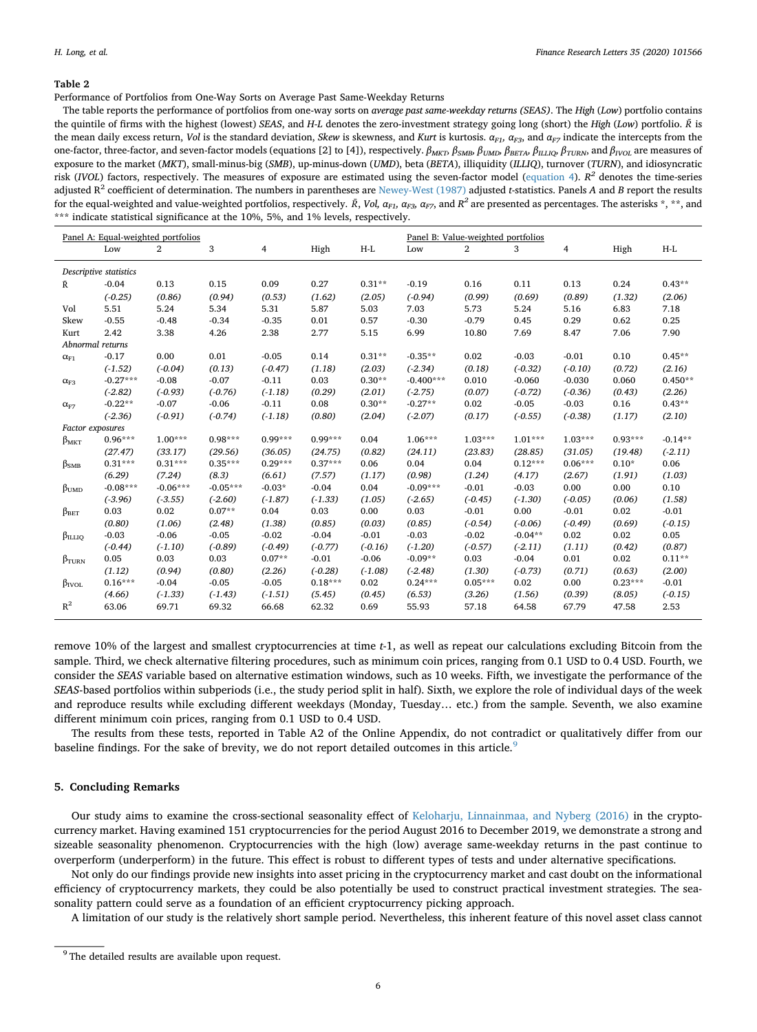#### <span id="page-5-1"></span>**Table 2**

Performance of Portfolios from One-Way Sorts on Average Past Same-Weekday Returns

The table reports the performance of portfolios from one-way sorts on *average past same-weekday returns (SEAS)*. The *High* (*Low*) portfolio contains the quintile of firms with the highest (lowest) *SEAS*, and *H-L* denotes the zero-investment strategy going long (short) the *High* (*Low*) portfolio.  $\overline{R}$  is the mean daily excess return, *Vol* is the standard deviation, *Skew* is skewness, and *Kurt* is kurtosis.  $α<sub>F1</sub>, α<sub>F3</sub>$ , and  $α<sub>F7</sub>$  indicate the intercepts from the one-factor, three-factor, and seven-factor models (equations [2] to [4]), respectively. *β<sub>MKT</sub>*, *β<sub>SMB</sub>*, *β<sub>UMD</sub>*, *βBETA*, *βILLIQ*, *βTURN*, and *βIVOL* are measures of exposure to the market (*MKT*), small-minus-big (*SMB*), up-minus-down (*UMD*), beta (*BETA*), illiquidity (*ILLIQ*), turnover (*TURN*), and idiosyncratic risk (*IVOL*) factors, respectively. The measures of exposure are estimated using the seven-factor model ([equation 4](#page-2-4)). *R2* denotes the time-series adjusted R2 coefficient of determination. The numbers in parentheses are [Newey-West \(1987\)](#page-7-29) adjusted *t*-statistics. Panels *A* and *B* report the results for the equal-weighted and value-weighted portfolios, respectively.  $\bar{R}$ , *Vol, α<sub>F1</sub>, α<sub>F3</sub>, α<sub>F7</sub>, and R<sup>2</sup> are presented as percentages. The asterisks \*, \*\*, and* \*\*\* indicate statistical significance at the 10%, 5%, and 1% levels, respectively.

| Panel A: Equal-weighted portfolios |            |                |            |           |           | Panel B: Value-weighted portfolios |             |                |           |           |           |           |
|------------------------------------|------------|----------------|------------|-----------|-----------|------------------------------------|-------------|----------------|-----------|-----------|-----------|-----------|
|                                    | Low        | $\overline{2}$ | 3          | 4         | High      | $H-L$                              | Low         | $\overline{2}$ | 3         | 4         | High      | $H-L$     |
| Descriptive statistics             |            |                |            |           |           |                                    |             |                |           |           |           |           |
| Ŕ.                                 | $-0.04$    | 0.13           | 0.15       | 0.09      | 0.27      | $0.31**$                           | $-0.19$     | 0.16           | 0.11      | 0.13      | 0.24      | $0.43**$  |
|                                    | $(-0.25)$  | (0.86)         | (0.94)     | (0.53)    | (1.62)    | (2.05)                             | $(-0.94)$   | (0.99)         | (0.69)    | (0.89)    | (1.32)    | (2.06)    |
| Vol                                | 5.51       | 5.24           | 5.34       | 5.31      | 5.87      | 5.03                               | 7.03        | 5.73           | 5.24      | 5.16      | 6.83      | 7.18      |
| Skew                               | $-0.55$    | $-0.48$        | $-0.34$    | $-0.35$   | 0.01      | 0.57                               | $-0.30$     | $-0.79$        | 0.45      | 0.29      | 0.62      | 0.25      |
| Kurt                               | 2.42       | 3.38           | 4.26       | 2.38      | 2.77      | 5.15                               | 6.99        | 10.80          | 7.69      | 8.47      | 7.06      | 7.90      |
| Abnormal returns                   |            |                |            |           |           |                                    |             |                |           |           |           |           |
| $\alpha_{\rm F1}$                  | $-0.17$    | 0.00           | 0.01       | $-0.05$   | 0.14      | $0.31**$                           | $-0.35**$   | 0.02           | $-0.03$   | $-0.01$   | 0.10      | $0.45**$  |
|                                    | $(-1.52)$  | $(-0.04)$      | (0.13)     | $(-0.47)$ | (1.18)    | (2.03)                             | $(-2.34)$   | (0.18)         | $(-0.32)$ | $(-0.10)$ | (0.72)    | (2.16)    |
| $\alpha_{F3}$                      | $-0.27***$ | $-0.08$        | $-0.07$    | $-0.11$   | 0.03      | $0.30**$                           | $-0.400***$ | 0.010          | $-0.060$  | $-0.030$  | 0.060     | $0.450**$ |
|                                    | $(-2.82)$  | $(-0.93)$      | $(-0.76)$  | $(-1.18)$ | (0.29)    | (2.01)                             | $(-2.75)$   | (0.07)         | $(-0.72)$ | $(-0.36)$ | (0.43)    | (2.26)    |
| $\alpha_{\rm F7}$                  | $-0.22**$  | $-0.07$        | $-0.06$    | $-0.11$   | 0.08      | $0.30**$                           | $-0.27**$   | 0.02           | $-0.05$   | $-0.03$   | 0.16      | $0.43**$  |
|                                    | $(-2.36)$  | $(-0.91)$      | $(-0.74)$  | $(-1.18)$ | (0.80)    | (2.04)                             | $(-2.07)$   | (0.17)         | $(-0.55)$ | $(-0.38)$ | (1.17)    | (2.10)    |
| Factor exposures                   |            |                |            |           |           |                                    |             |                |           |           |           |           |
| $\beta_{MKT}$                      | $0.96***$  | $1.00***$      | $0.98***$  | $0.99***$ | $0.99***$ | 0.04                               | $1.06***$   | $1.03***$      | $1.01***$ | $1.03***$ | $0.93***$ | $-0.14**$ |
|                                    | (27.47)    | (33.17)        | (29.56)    | (36.05)   | (24.75)   | (0.82)                             | (24.11)     | (23.83)        | (28.85)   | (31.05)   | (19.48)   | $(-2.11)$ |
| $\beta_{\rm SMB}$                  | $0.31***$  | $0.31***$      | $0.35***$  | $0.29***$ | $0.37***$ | 0.06                               | 0.04        | 0.04           | $0.12***$ | $0.06***$ | $0.10*$   | 0.06      |
|                                    | (6.29)     | (7.24)         | (8.3)      | (6.61)    | (7.57)    | (1.17)                             | (0.98)      | (1.24)         | (4.17)    | (2.67)    | (1.91)    | (1.03)    |
| $\beta_{\text{UMD}}$               | $-0.08***$ | $-0.06***$     | $-0.05***$ | $-0.03*$  | $-0.04$   | 0.04                               | $-0.09***$  | $-0.01$        | $-0.03$   | 0.00      | 0.00      | 0.10      |
|                                    | $(-3.96)$  | $(-3.55)$      | $(-2.60)$  | $(-1.87)$ | $(-1.33)$ | (1.05)                             | $(-2.65)$   | $(-0.45)$      | $(-1.30)$ | $(-0.05)$ | (0.06)    | (1.58)    |
| $\beta_{\rm BET}$                  | 0.03       | 0.02           | $0.07**$   | 0.04      | 0.03      | 0.00                               | 0.03        | $-0.01$        | 0.00      | $-0.01$   | 0.02      | $-0.01$   |
|                                    | (0.80)     | (1.06)         | (2.48)     | (1.38)    | (0.85)    | (0.03)                             | (0.85)      | $(-0.54)$      | $(-0.06)$ | $(-0.49)$ | (0.69)    | $(-0.15)$ |
| $\beta_{\text{ILIO}}$              | $-0.03$    | $-0.06$        | $-0.05$    | $-0.02$   | $-0.04$   | $-0.01$                            | $-0.03$     | $-0.02$        | $-0.04**$ | 0.02      | 0.02      | 0.05      |
|                                    | $(-0.44)$  | $(-1.10)$      | $(-0.89)$  | $(-0.49)$ | $(-0.77)$ | $(-0.16)$                          | $(-1.20)$   | $(-0.57)$      | $(-2.11)$ | (1.11)    | (0.42)    | (0.87)    |
| $\beta$ turn                       | 0.05       | 0.03           | 0.03       | $0.07**$  | $-0.01$   | $-0.06$                            | $-0.09**$   | 0.03           | $-0.04$   | 0.01      | 0.02      | $0.11**$  |
|                                    | (1.12)     | (0.94)         | (0.80)     | (2.26)    | $(-0.28)$ | $(-1.08)$                          | $(-2.48)$   | (1.30)         | $(-0.73)$ | (0.71)    | (0.63)    | (2.00)    |
| $\beta_{\text{IVOL}}$              | $0.16***$  | $-0.04$        | $-0.05$    | $-0.05$   | $0.18***$ | 0.02                               | $0.24***$   | $0.05***$      | 0.02      | 0.00      | $0.23***$ | $-0.01$   |
|                                    | (4.66)     | $(-1.33)$      | $(-1.43)$  | $(-1.51)$ | (5.45)    | (0.45)                             | (6.53)      | (3.26)         | (1.56)    | (0.39)    | (8.05)    | $(-0.15)$ |
| $R^2$                              | 63.06      | 69.71          | 69.32      | 66.68     | 62.32     | 0.69                               | 55.93       | 57.18          | 64.58     | 67.79     | 47.58     | 2.53      |

remove 10% of the largest and smallest cryptocurrencies at time *t*-1, as well as repeat our calculations excluding Bitcoin from the sample. Third, we check alternative filtering procedures, such as minimum coin prices, ranging from 0.1 USD to 0.4 USD. Fourth, we consider the *SEAS* variable based on alternative estimation windows, such as 10 weeks. Fifth, we investigate the performance of the *SEAS*-based portfolios within subperiods (i.e., the study period split in half). Sixth, we explore the role of individual days of the week and reproduce results while excluding different weekdays (Monday, Tuesday… etc.) from the sample. Seventh, we also examine different minimum coin prices, ranging from 0.1 USD to 0.4 USD.

The results from these tests, reported in Table A2 of the Online Appendix, do not contradict or qualitatively differ from our baseline findings. For the sake of brevity, we do not report detailed outcomes in this article.<sup>[9](#page-5-2)</sup>

#### <span id="page-5-0"></span>**5. Concluding Remarks**

Our study aims to examine the cross-sectional seasonality effect of [Keloharju, Linnainmaa, and Nyberg \(2016\)](#page-7-2) in the cryptocurrency market. Having examined 151 cryptocurrencies for the period August 2016 to December 2019, we demonstrate a strong and sizeable seasonality phenomenon. Cryptocurrencies with the high (low) average same-weekday returns in the past continue to overperform (underperform) in the future. This effect is robust to different types of tests and under alternative specifications.

Not only do our findings provide new insights into asset pricing in the cryptocurrency market and cast doubt on the informational efficiency of cryptocurrency markets, they could be also potentially be used to construct practical investment strategies. The seasonality pattern could serve as a foundation of an efficient cryptocurrency picking approach.

A limitation of our study is the relatively short sample period. Nevertheless, this inherent feature of this novel asset class cannot

<span id="page-5-2"></span> $^9$  The detailed results are available upon request.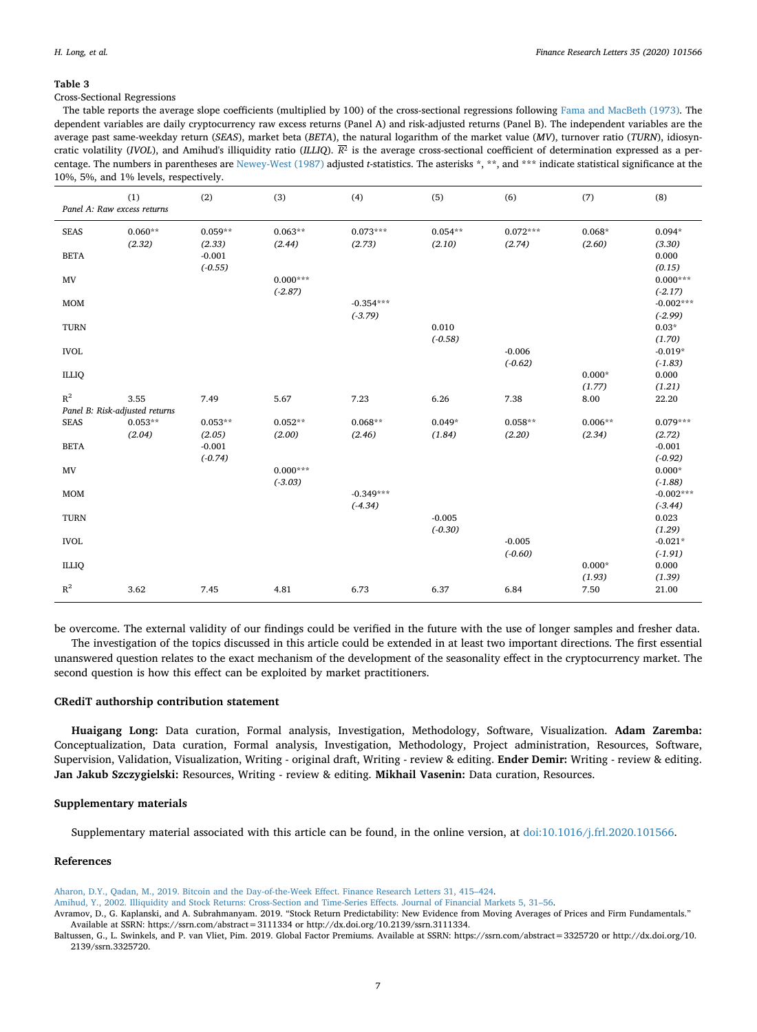# <span id="page-6-4"></span>**Table 3**

# Cross-Sectional Regressions

The table reports the average slope coefficients (multiplied by 100) of the cross-sectional regressions following [Fama and MacBeth \(1973\).](#page-7-25) The dependent variables are daily cryptocurrency raw excess returns (Panel A) and risk-adjusted returns (Panel B). The independent variables are the average past same-weekday return (*SEAS*), market beta (*BETA*), the natural logarithm of the market value (*MV*), turnover ratio (*TURN*), idiosyncratic volatility (*IVOL*), and Amihud's illiquidity ratio (*ILLIQ*).  $R^2$  is the average cross-sectional coefficient of determination expressed as a percentage. The numbers in parentheses are [Newey-West \(1987\)](#page-7-29) adjusted *t*-statistics. The asterisks \*, \*\*, and \*\*\* indicate statistical significance at the 10%, 5%, and 1% levels, respectively.

| Panel A: Raw excess returns                                     | (1)                 | (2)                   | (3)                     | (4)                      | (5)                   | (6)                   | (7)                 | (8)                      |
|-----------------------------------------------------------------|---------------------|-----------------------|-------------------------|--------------------------|-----------------------|-----------------------|---------------------|--------------------------|
| <b>SEAS</b>                                                     | $0.060**$<br>(2.32) | $0.059**$<br>(2.33)   | $0.063**$<br>(2.44)     | $0.073***$<br>(2.73)     | $0.054**$<br>(2.10)   | $0.072***$<br>(2.74)  | $0.068*$<br>(2.60)  | $0.094*$<br>(3.30)       |
| <b>BETA</b>                                                     |                     | $-0.001$<br>$(-0.55)$ |                         |                          |                       |                       |                     | 0.000<br>(0.15)          |
| MV                                                              |                     |                       | $0.000***$<br>$(-2.87)$ |                          |                       |                       |                     | $0.000***$<br>$(-2.17)$  |
| MOM                                                             |                     |                       |                         | $-0.354***$<br>$(-3.79)$ |                       |                       |                     | $-0.002***$<br>$(-2.99)$ |
| <b>TURN</b>                                                     |                     |                       |                         |                          | 0.010<br>$(-0.58)$    |                       |                     | $0.03*$<br>(1.70)        |
| <b>IVOL</b>                                                     |                     |                       |                         |                          |                       | $-0.006$<br>$(-0.62)$ |                     | $-0.019*$<br>$(-1.83)$   |
| <b>ILLIQ</b>                                                    |                     |                       |                         |                          |                       |                       | $0.000*$<br>(1.77)  | 0.000<br>(1.21)          |
| $R^2$<br>3.55<br>7.49<br>5.67<br>Panel B: Risk-adjusted returns |                     |                       |                         | 7.23                     | 6.26                  | 7.38                  | 8.00                | 22.20                    |
| <b>SEAS</b>                                                     | $0.053**$<br>(2.04) | $0.053**$<br>(2.05)   | $0.052**$<br>(2.00)     | $0.068**$<br>(2.46)      | $0.049*$<br>(1.84)    | $0.058**$<br>(2.20)   | $0.006**$<br>(2.34) | $0.079***$<br>(2.72)     |
| <b>BETA</b>                                                     |                     | $-0.001$<br>$(-0.74)$ |                         |                          |                       |                       |                     | $-0.001$<br>$(-0.92)$    |
| MV                                                              |                     |                       | $0.000***$<br>$(-3.03)$ |                          |                       |                       |                     | $0.000*$<br>$(-1.88)$    |
| <b>MOM</b>                                                      |                     |                       |                         | $-0.349***$<br>$(-4.34)$ |                       |                       |                     | $-0.002***$<br>$(-3.44)$ |
| <b>TURN</b>                                                     |                     |                       |                         |                          | $-0.005$<br>$(-0.30)$ |                       |                     | 0.023<br>(1.29)          |
| <b>IVOL</b>                                                     |                     |                       |                         |                          |                       | $-0.005$<br>$(-0.60)$ |                     | $-0.021*$<br>$(-1.91)$   |
| <b>ILLIQ</b>                                                    |                     |                       |                         |                          |                       |                       | $0.000*$<br>(1.93)  | 0.000<br>(1.39)          |
| $\mathbb{R}^2$                                                  | 3.62                | 7.45                  | 4.81                    | 6.73                     | 6.37                  | 6.84                  | 7.50                | 21.00                    |

be overcome. The external validity of our findings could be verified in the future with the use of longer samples and fresher data.

The investigation of the topics discussed in this article could be extended in at least two important directions. The first essential unanswered question relates to the exact mechanism of the development of the seasonality effect in the cryptocurrency market. The second question is how this effect can be exploited by market practitioners.

## **CRediT authorship contribution statement**

**Huaigang Long:** Data curation, Formal analysis, Investigation, Methodology, Software, Visualization. **Adam Zaremba:** Conceptualization, Data curation, Formal analysis, Investigation, Methodology, Project administration, Resources, Software, Supervision, Validation, Visualization, Writing - original draft, Writing - review & editing. **Ender Demir:** Writing - review & editing. **Jan Jakub Szczygielski:** Resources, Writing - review & editing. **Mikhail Vasenin:** Data curation, Resources.

#### **Supplementary materials**

Supplementary material associated with this article can be found, in the online version, at [doi:10.1016/j.frl.2020.101566](https://doi.org/10.1016/j.frl.2020.101566).

## **References**

<span id="page-6-0"></span>[Aharon, D.Y., Qadan, M., 2019. Bitcoin and the Day-of-the-Week Effect. Finance Research Letters 31, 415–424](http://refhub.elsevier.com/S1544-6123(20)30235-X/sbref0001).

<span id="page-6-2"></span>[Amihud, Y., 2002. Illiquidity and Stock Returns: Cross-Section and Time-Series Effects. Journal of Financial Markets 5, 31–56](http://refhub.elsevier.com/S1544-6123(20)30235-X/sbref0002).

<span id="page-6-3"></span>Avramov, D., G. Kaplanski, and A. Subrahmanyam. 2019. "Stock Return Predictability: New Evidence from Moving Averages of Prices and Firm Fundamentals." Available at SSRN: https://ssrn.com/abstract=3111334 or http://dx.doi.org/10.2139/ssrn.3111334.

<span id="page-6-1"></span>Baltussen, G., L. Swinkels, and P. van Vliet, Pim. 2019. Global Factor Premiums. Available at SSRN: https://ssrn.com/abstract=3325720 or http://dx.doi.org/10. 2139/ssrn.3325720.